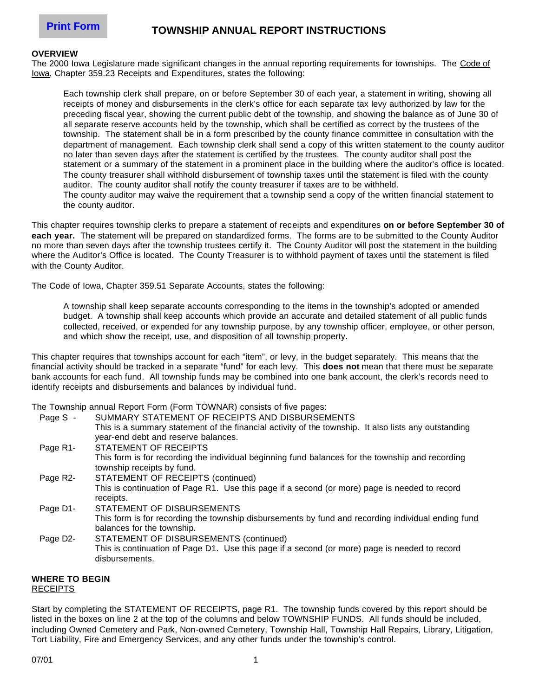# **TOWNSHIP ANNUAL REPORT INSTRUCTIONS**

#### **OVERVIEW**

The 2000 Iowa Legislature made significant changes in the annual reporting requirements for townships. The Code of Iowa, Chapter 359.23 Receipts and Expenditures, states the following:

Each township clerk shall prepare, on or before September 30 of each year, a statement in writing, showing all receipts of money and disbursements in the clerk's office for each separate tax levy authorized by law for the preceding fiscal year, showing the current public debt of the township, and showing the balance as of June 30 of all separate reserve accounts held by the township, which shall be certified as correct by the trustees of the township. The statement shall be in a form prescribed by the county finance committee in consultation with the department of management. Each township clerk shall send a copy of this written statement to the county auditor no later than seven days after the statement is certified by the trustees. The county auditor shall post the statement or a summary of the statement in a prominent place in the building where the auditor's office is located. The county treasurer shall withhold disbursement of township taxes until the statement is filed with the county auditor. The county auditor shall notify the county treasurer if taxes are to be withheld. The county auditor may waive the requirement that a township send a copy of the written financial statement to the county auditor.

This chapter requires township clerks to prepare a statement of receipts and expenditures **on or before September 30 of each year.** The statement will be prepared on standardized forms. The forms are to be submitted to the County Auditor no more than seven days after the township trustees certify it. The County Auditor will post the statement in the building where the Auditor's Office is located. The County Treasurer is to withhold payment of taxes until the statement is filed with the County Auditor.

The Code of Iowa, Chapter 359.51 Separate Accounts, states the following:

A township shall keep separate accounts corresponding to the items in the township's adopted or amended budget. A township shall keep accounts which provide an accurate and detailed statement of all public funds collected, received, or expended for any township purpose, by any township officer, employee, or other person, and which show the receipt, use, and disposition of all township property.

This chapter requires that townships account for each "item", or levy, in the budget separately. This means that the financial activity should be tracked in a separate "fund" for each levy. This **does not** mean that there must be separate bank accounts for each fund. All township funds may be combined into one bank account, the clerk's records need to identify receipts and disbursements and balances by individual fund.

The Township annual Report Form (Form TOWNAR) consists of five pages:

| Page S - | SUMMARY STATEMENT OF RECEIPTS AND DISBURSEMENTS                                                      |
|----------|------------------------------------------------------------------------------------------------------|
|          | This is a summary statement of the financial activity of the township. It also lists any outstanding |
|          | year-end debt and reserve balances.                                                                  |
| Page R1- | STATEMENT OF RECEIPTS                                                                                |
|          | This form is for recording the individual beginning fund balances for the township and recording     |
|          | township receipts by fund.                                                                           |

- Page R2- STATEMENT OF RECEIPTS (continued) This is continuation of Page R1. Use this page if a second (or more) page is needed to record receipts. Page D1- STATEMENT OF DISBURSEMENTS
- This form is for recording the township disbursements by fund and recording individual ending fund balances for the township.
- Page D2- STATEMENT OF DISBURSEMENTS (continued) This is continuation of Page D1. Use this page if a second (or more) page is needed to record disbursements.

#### **WHERE TO BEGIN** RECEIPTS

Start by completing the STATEMENT OF RECEIPTS, page R1. The township funds covered by this report should be listed in the boxes on line 2 at the top of the columns and below TOWNSHIP FUNDS. All funds should be included, including Owned Cemetery and Park, Non-owned Cemetery, Township Hall, Township Hall Repairs, Library, Litigation, Tort Liability, Fire and Emergency Services, and any other funds under the township's control.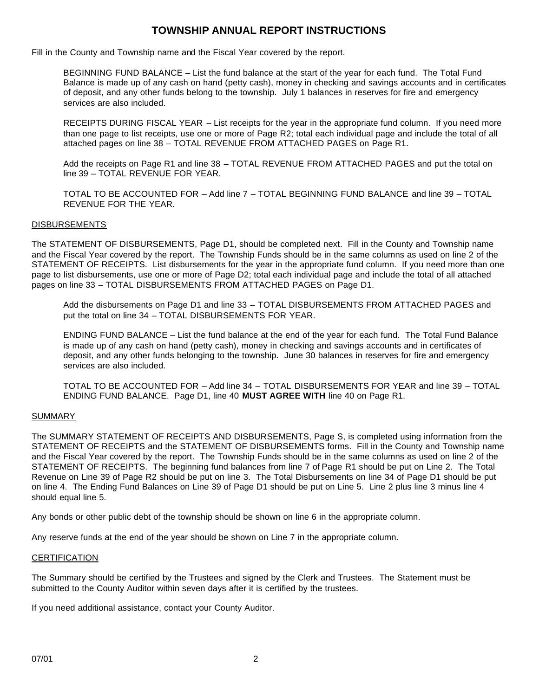### **TOWNSHIP ANNUAL REPORT INSTRUCTIONS**

Fill in the County and Township name and the Fiscal Year covered by the report.

BEGINNING FUND BALANCE – List the fund balance at the start of the year for each fund. The Total Fund Balance is made up of any cash on hand (petty cash), money in checking and savings accounts and in certificates of deposit, and any other funds belong to the township. July 1 balances in reserves for fire and emergency services are also included.

RECEIPTS DURING FISCAL YEAR – List receipts for the year in the appropriate fund column. If you need more than one page to list receipts, use one or more of Page R2; total each individual page and include the total of all attached pages on line 38 – TOTAL REVENUE FROM ATTACHED PAGES on Page R1.

Add the receipts on Page R1 and line 38 – TOTAL REVENUE FROM ATTACHED PAGES and put the total on line 39 – TOTAL REVENUE FOR YEAR.

TOTAL TO BE ACCOUNTED FOR – Add line 7 – TOTAL BEGINNING FUND BALANCE and line 39 – TOTAL REVENUE FOR THE YEAR.

### DISBURSEMENTS

The STATEMENT OF DISBURSEMENTS, Page D1, should be completed next. Fill in the County and Township name and the Fiscal Year covered by the report. The Township Funds should be in the same columns as used on line 2 of the STATEMENT OF RECEIPTS. List disbursements for the year in the appropriate fund column. If you need more than one page to list disbursements, use one or more of Page D2; total each individual page and include the total of all attached pages on line 33 – TOTAL DISBURSEMENTS FROM ATTACHED PAGES on Page D1.

Add the disbursements on Page D1 and line 33 – TOTAL DISBURSEMENTS FROM ATTACHED PAGES and put the total on line 34 – TOTAL DISBURSEMENTS FOR YEAR.

ENDING FUND BALANCE – List the fund balance at the end of the year for each fund. The Total Fund Balance is made up of any cash on hand (petty cash), money in checking and savings accounts and in certificates of deposit, and any other funds belonging to the township. June 30 balances in reserves for fire and emergency services are also included.

TOTAL TO BE ACCOUNTED FOR – Add line 34 – TOTAL DISBURSEMENTS FOR YEAR and line 39 – TOTAL ENDING FUND BALANCE. Page D1, line 40 **MUST AGREE WITH** line 40 on Page R1.

#### SUMMARY

The SUMMARY STATEMENT OF RECEIPTS AND DISBURSEMENTS, Page S, is completed using information from the STATEMENT OF RECEIPTS and the STATEMENT OF DISBURSEMENTS forms. Fill in the County and Township name and the Fiscal Year covered by the report. The Township Funds should be in the same columns as used on line 2 of the STATEMENT OF RECEIPTS. The beginning fund balances from line 7 of Page R1 should be put on Line 2. The Total Revenue on Line 39 of Page R2 should be put on line 3. The Total Disbursements on line 34 of Page D1 should be put on line 4. The Ending Fund Balances on Line 39 of Page D1 should be put on Line 5. Line 2 plus line 3 minus line 4 should equal line 5.

Any bonds or other public debt of the township should be shown on line 6 in the appropriate column.

Any reserve funds at the end of the year should be shown on Line 7 in the appropriate column.

#### **CERTIFICATION**

The Summary should be certified by the Trustees and signed by the Clerk and Trustees. The Statement must be submitted to the County Auditor within seven days after it is certified by the trustees.

If you need additional assistance, contact your County Auditor.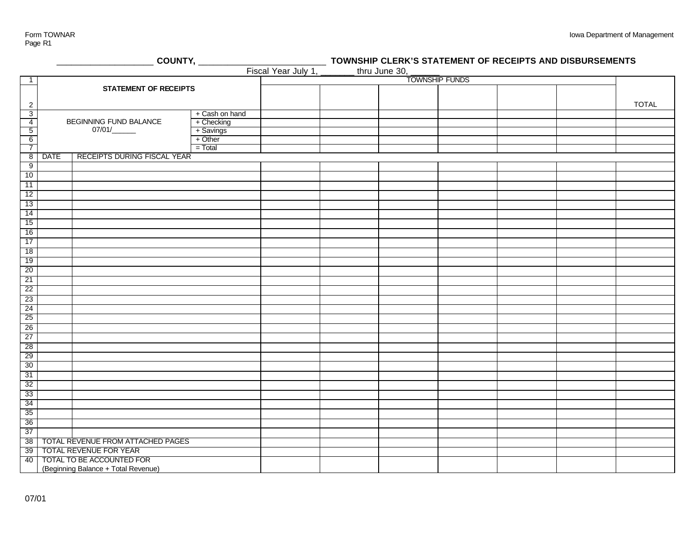Page R1

| COUNTY, _____<br>TO<br>Fiscal Year July 1, _____ |                              |                                        |                              |  | TOWNSHIP CLERK'S STATEMENT OF RECEIPTS AND DISBURSEMENTS |               |  |  |  |              |
|--------------------------------------------------|------------------------------|----------------------------------------|------------------------------|--|----------------------------------------------------------|---------------|--|--|--|--------------|
|                                                  |                              |                                        |                              |  |                                                          | thru June 30, |  |  |  |              |
| $\mathbf{1}$                                     | <b>STATEMENT OF RECEIPTS</b> |                                        |                              |  | <b>TOWNSHIP FUNDS</b>                                    |               |  |  |  |              |
|                                                  |                              |                                        |                              |  |                                                          |               |  |  |  |              |
|                                                  |                              |                                        |                              |  |                                                          |               |  |  |  |              |
| $\overline{c}$                                   |                              |                                        |                              |  |                                                          |               |  |  |  | <b>TOTAL</b> |
| $\overline{3}$                                   |                              | BEGINNING FUND BALANCE                 | + Cash on hand<br>+ Checking |  |                                                          |               |  |  |  |              |
| $\overline{4}$<br>$\overline{5}$                 |                              | 07/01/                                 | + Savings                    |  |                                                          |               |  |  |  |              |
|                                                  |                              |                                        | + Other                      |  |                                                          |               |  |  |  |              |
| $\begin{array}{c} 6 \\ 7 \end{array}$            |                              |                                        | $=$ Total                    |  |                                                          |               |  |  |  |              |
| $\overline{8}$                                   | <b>DATE</b>                  | <b>RECEIPTS DURING FISCAL YEAR</b>     |                              |  |                                                          |               |  |  |  |              |
| 9                                                |                              |                                        |                              |  |                                                          |               |  |  |  |              |
| 10                                               |                              |                                        |                              |  |                                                          |               |  |  |  |              |
| $-11$                                            |                              |                                        |                              |  |                                                          |               |  |  |  |              |
| 12                                               |                              |                                        |                              |  |                                                          |               |  |  |  |              |
| 13                                               |                              |                                        |                              |  |                                                          |               |  |  |  |              |
| 14                                               |                              |                                        |                              |  |                                                          |               |  |  |  |              |
| 15                                               |                              |                                        |                              |  |                                                          |               |  |  |  |              |
| 16                                               |                              |                                        |                              |  |                                                          |               |  |  |  |              |
| 17                                               |                              |                                        |                              |  |                                                          |               |  |  |  |              |
| 18                                               |                              |                                        |                              |  |                                                          |               |  |  |  |              |
| 19                                               |                              |                                        |                              |  |                                                          |               |  |  |  |              |
| 20                                               |                              |                                        |                              |  |                                                          |               |  |  |  |              |
| 21                                               |                              |                                        |                              |  |                                                          |               |  |  |  |              |
| 22                                               |                              |                                        |                              |  |                                                          |               |  |  |  |              |
| 23                                               |                              |                                        |                              |  |                                                          |               |  |  |  |              |
| 24                                               |                              |                                        |                              |  |                                                          |               |  |  |  |              |
| 25                                               |                              |                                        |                              |  |                                                          |               |  |  |  |              |
| 26                                               |                              |                                        |                              |  |                                                          |               |  |  |  |              |
| 27                                               |                              |                                        |                              |  |                                                          |               |  |  |  |              |
| 28                                               |                              |                                        |                              |  |                                                          |               |  |  |  |              |
| 29                                               |                              |                                        |                              |  |                                                          |               |  |  |  |              |
| 30                                               |                              |                                        |                              |  |                                                          |               |  |  |  |              |
| 31                                               |                              |                                        |                              |  |                                                          |               |  |  |  |              |
| 32                                               |                              |                                        |                              |  |                                                          |               |  |  |  |              |
| 33                                               |                              |                                        |                              |  |                                                          |               |  |  |  |              |
| 34                                               |                              |                                        |                              |  |                                                          |               |  |  |  |              |
| 35                                               |                              |                                        |                              |  |                                                          |               |  |  |  |              |
| 36                                               |                              |                                        |                              |  |                                                          |               |  |  |  |              |
| 37                                               |                              |                                        |                              |  |                                                          |               |  |  |  |              |
|                                                  |                              | 38   TOTAL REVENUE FROM ATTACHED PAGES |                              |  |                                                          |               |  |  |  |              |
|                                                  |                              | 39 TOTAL REVENUE FOR YEAR              |                              |  |                                                          |               |  |  |  |              |
|                                                  |                              | 40   TOTAL TO BE ACCOUNTED FOR         |                              |  |                                                          |               |  |  |  |              |
|                                                  |                              | (Beginning Balance + Total Revenue)    |                              |  |                                                          |               |  |  |  |              |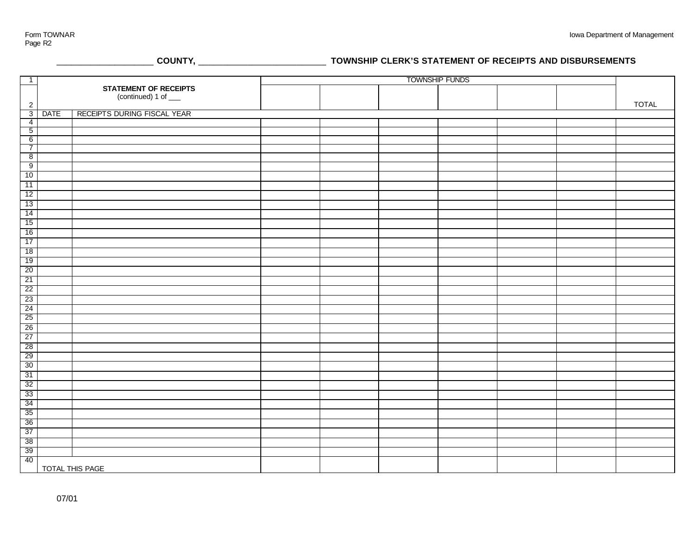\_\_\_\_\_\_\_\_\_\_\_\_\_\_\_\_\_\_\_\_ **COUNTY,** \_\_\_\_\_\_\_\_\_\_\_\_\_\_\_\_\_\_\_\_\_\_\_\_\_\_ **TOWNSHIP CLERK'S STATEMENT OF RECEIPTS AND DISBURSEMENTS**

| $\overline{1}$                    | <b>STATEMENT OF RECEIPTS</b> |                             | <b>TOWNSHIP FUNDS</b> |  |  |  |  |  |              |
|-----------------------------------|------------------------------|-----------------------------|-----------------------|--|--|--|--|--|--------------|
|                                   |                              |                             |                       |  |  |  |  |  |              |
|                                   |                              | (continued) 1 of ___        |                       |  |  |  |  |  |              |
| $\overline{2}$                    |                              |                             |                       |  |  |  |  |  | <b>TOTAL</b> |
| 3                                 | <b>DATE</b>                  | RECEIPTS DURING FISCAL YEAR |                       |  |  |  |  |  |              |
| $\overline{4}$                    |                              |                             |                       |  |  |  |  |  |              |
| $\overline{5}$                    |                              |                             |                       |  |  |  |  |  |              |
| $6\overline{6}$<br>$\overline{7}$ |                              |                             |                       |  |  |  |  |  |              |
| $\overline{8}$                    |                              |                             |                       |  |  |  |  |  |              |
| $\overline{9}$                    |                              |                             |                       |  |  |  |  |  |              |
| 10                                |                              |                             |                       |  |  |  |  |  |              |
|                                   |                              |                             |                       |  |  |  |  |  |              |
| 11                                |                              |                             |                       |  |  |  |  |  |              |
| 12                                |                              |                             |                       |  |  |  |  |  |              |
| 13                                |                              |                             |                       |  |  |  |  |  |              |
| 14                                |                              |                             |                       |  |  |  |  |  |              |
| 15                                |                              |                             |                       |  |  |  |  |  |              |
| 16                                |                              |                             |                       |  |  |  |  |  |              |
| 17                                |                              |                             |                       |  |  |  |  |  |              |
| 18                                |                              |                             |                       |  |  |  |  |  |              |
| 19                                |                              |                             |                       |  |  |  |  |  |              |
| 20                                |                              |                             |                       |  |  |  |  |  |              |
| 21                                |                              |                             |                       |  |  |  |  |  |              |
| 22                                |                              |                             |                       |  |  |  |  |  |              |
| 23                                |                              |                             |                       |  |  |  |  |  |              |
| 24                                |                              |                             |                       |  |  |  |  |  |              |
| 25                                |                              |                             |                       |  |  |  |  |  |              |
| 26                                |                              |                             |                       |  |  |  |  |  |              |
| 27                                |                              |                             |                       |  |  |  |  |  |              |
| 28                                |                              |                             |                       |  |  |  |  |  |              |
| 29                                |                              |                             |                       |  |  |  |  |  |              |
| 30                                |                              |                             |                       |  |  |  |  |  |              |
| 31                                |                              |                             |                       |  |  |  |  |  |              |
| 32                                |                              |                             |                       |  |  |  |  |  |              |
| 33                                |                              |                             |                       |  |  |  |  |  |              |
| 34                                |                              |                             |                       |  |  |  |  |  |              |
| 35                                |                              |                             |                       |  |  |  |  |  |              |
| 36                                |                              |                             |                       |  |  |  |  |  |              |
| 37                                |                              |                             |                       |  |  |  |  |  |              |
| 38                                |                              |                             |                       |  |  |  |  |  |              |
| 39                                |                              |                             |                       |  |  |  |  |  |              |
| 40                                |                              |                             |                       |  |  |  |  |  |              |
|                                   | TOTAL THIS PAGE              |                             |                       |  |  |  |  |  |              |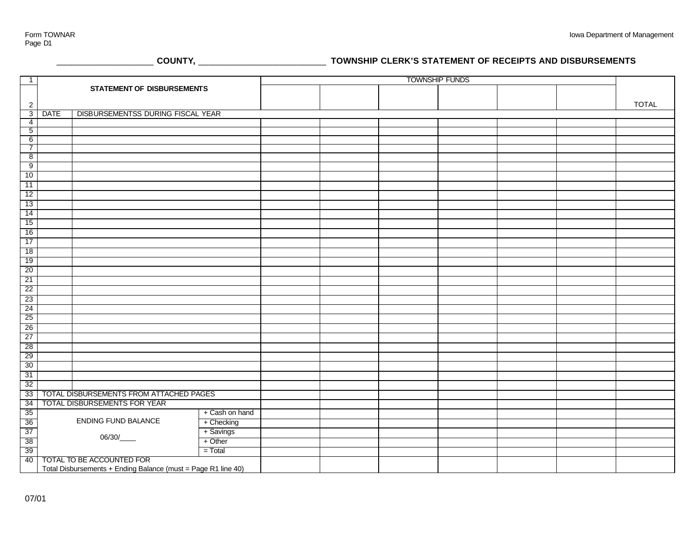# \_\_\_\_\_\_\_\_\_\_\_\_\_\_\_\_\_\_\_\_ **COUNTY,** \_\_\_\_\_\_\_\_\_\_\_\_\_\_\_\_\_\_\_\_\_\_\_\_\_\_ **TOWNSHIP CLERK'S STATEMENT OF RECEIPTS AND DISBURSEMENTS**

| $\overline{1}$                    | <b>STATEMENT OF DISBURSEMENTS</b> |                                                               |                | <b>TOWNSHIP FUNDS</b> |  |  |  |  |  |              |
|-----------------------------------|-----------------------------------|---------------------------------------------------------------|----------------|-----------------------|--|--|--|--|--|--------------|
|                                   |                                   |                                                               |                |                       |  |  |  |  |  |              |
|                                   |                                   |                                                               |                |                       |  |  |  |  |  |              |
| $\sqrt{2}$                        |                                   |                                                               |                |                       |  |  |  |  |  | <b>TOTAL</b> |
| 3                                 | <b>DATE</b>                       | DISBURSEMENTSS DURING FISCAL YEAR                             |                |                       |  |  |  |  |  |              |
| $\overline{4}$                    |                                   |                                                               |                |                       |  |  |  |  |  |              |
| $\overline{5}$                    |                                   |                                                               |                |                       |  |  |  |  |  |              |
| $6\overline{6}$<br>$\overline{7}$ |                                   |                                                               |                |                       |  |  |  |  |  |              |
| 8                                 |                                   |                                                               |                |                       |  |  |  |  |  |              |
| 9                                 |                                   |                                                               |                |                       |  |  |  |  |  |              |
| 10                                |                                   |                                                               |                |                       |  |  |  |  |  |              |
| 11                                |                                   |                                                               |                |                       |  |  |  |  |  |              |
|                                   |                                   |                                                               |                |                       |  |  |  |  |  |              |
| 12                                |                                   |                                                               |                |                       |  |  |  |  |  |              |
| 13                                |                                   |                                                               |                |                       |  |  |  |  |  |              |
| 14                                |                                   |                                                               |                |                       |  |  |  |  |  |              |
| 15                                |                                   |                                                               |                |                       |  |  |  |  |  |              |
| 16                                |                                   |                                                               |                |                       |  |  |  |  |  |              |
| 17                                |                                   |                                                               |                |                       |  |  |  |  |  |              |
| 18                                |                                   |                                                               |                |                       |  |  |  |  |  |              |
| 19                                |                                   |                                                               |                |                       |  |  |  |  |  |              |
| 20                                |                                   |                                                               |                |                       |  |  |  |  |  |              |
| 21                                |                                   |                                                               |                |                       |  |  |  |  |  |              |
| 22                                |                                   |                                                               |                |                       |  |  |  |  |  |              |
| 23                                |                                   |                                                               |                |                       |  |  |  |  |  |              |
| 24                                |                                   |                                                               |                |                       |  |  |  |  |  |              |
| 25                                |                                   |                                                               |                |                       |  |  |  |  |  |              |
| 26                                |                                   |                                                               |                |                       |  |  |  |  |  |              |
| 27                                |                                   |                                                               |                |                       |  |  |  |  |  |              |
| 28                                |                                   |                                                               |                |                       |  |  |  |  |  |              |
| 29                                |                                   |                                                               |                |                       |  |  |  |  |  |              |
| 30                                |                                   |                                                               |                |                       |  |  |  |  |  |              |
| 31                                |                                   |                                                               |                |                       |  |  |  |  |  |              |
| 32                                |                                   |                                                               |                |                       |  |  |  |  |  |              |
| 33                                |                                   | TOTAL DISBURSEMENTS FROM ATTACHED PAGES                       |                |                       |  |  |  |  |  |              |
| 34                                |                                   | TOTAL DISBURSEMENTS FOR YEAR                                  |                |                       |  |  |  |  |  |              |
| 35                                |                                   |                                                               | + Cash on hand |                       |  |  |  |  |  |              |
| 36                                |                                   | ENDING FUND BALANCE                                           | + Checking     |                       |  |  |  |  |  |              |
| 37                                |                                   |                                                               | + Savings      |                       |  |  |  |  |  |              |
| 38                                |                                   | 06/30/____                                                    | + Other        |                       |  |  |  |  |  |              |
| 39                                |                                   |                                                               | $=$ Total      |                       |  |  |  |  |  |              |
| 40                                |                                   | TOTAL TO BE ACCOUNTED FOR                                     |                |                       |  |  |  |  |  |              |
|                                   |                                   | Total Disbursements + Ending Balance (must = Page R1 line 40) |                |                       |  |  |  |  |  |              |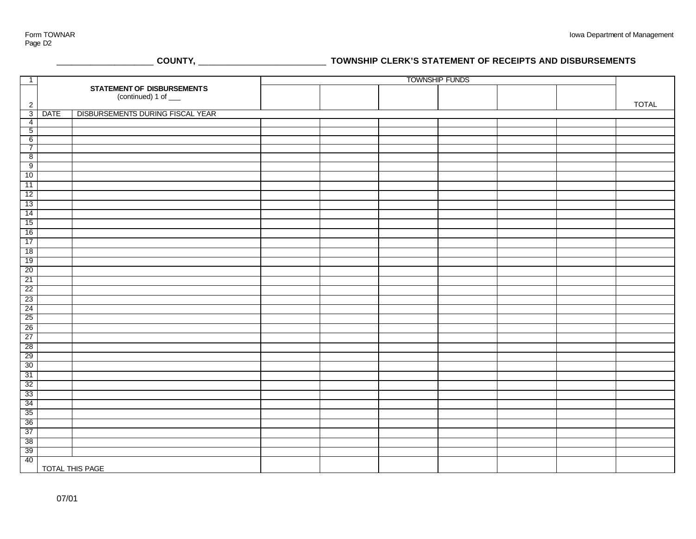\_\_\_\_\_\_\_\_\_\_\_\_\_\_\_\_\_\_\_\_ **COUNTY,** \_\_\_\_\_\_\_\_\_\_\_\_\_\_\_\_\_\_\_\_\_\_\_\_\_\_ **TOWNSHIP CLERK'S STATEMENT OF RECEIPTS AND DISBURSEMENTS**

| $\overline{1}$                    |                            |                                  | <b>TOWNSHIP FUNDS</b> |  |  |  |  |  |              |
|-----------------------------------|----------------------------|----------------------------------|-----------------------|--|--|--|--|--|--------------|
|                                   | STATEMENT OF DISBURSEMENTS |                                  |                       |  |  |  |  |  |              |
|                                   |                            | (continued) 1 of ___             |                       |  |  |  |  |  |              |
| $\overline{2}$                    |                            |                                  |                       |  |  |  |  |  | <b>TOTAL</b> |
| $\overline{3}$                    | <b>DATE</b>                | DISBURSEMENTS DURING FISCAL YEAR |                       |  |  |  |  |  |              |
| $\overline{4}$                    |                            |                                  |                       |  |  |  |  |  |              |
| $\overline{5}$<br>$6\overline{6}$ |                            |                                  |                       |  |  |  |  |  |              |
| $\overline{7}$                    |                            |                                  |                       |  |  |  |  |  |              |
| 8                                 |                            |                                  |                       |  |  |  |  |  |              |
| 9                                 |                            |                                  |                       |  |  |  |  |  |              |
| 10                                |                            |                                  |                       |  |  |  |  |  |              |
| 11                                |                            |                                  |                       |  |  |  |  |  |              |
| 12                                |                            |                                  |                       |  |  |  |  |  |              |
| 13                                |                            |                                  |                       |  |  |  |  |  |              |
| 14                                |                            |                                  |                       |  |  |  |  |  |              |
| 15                                |                            |                                  |                       |  |  |  |  |  |              |
|                                   |                            |                                  |                       |  |  |  |  |  |              |
| 16                                |                            |                                  |                       |  |  |  |  |  |              |
| 17                                |                            |                                  |                       |  |  |  |  |  |              |
| 18                                |                            |                                  |                       |  |  |  |  |  |              |
| 19                                |                            |                                  |                       |  |  |  |  |  |              |
| 20                                |                            |                                  |                       |  |  |  |  |  |              |
| 21                                |                            |                                  |                       |  |  |  |  |  |              |
| 22                                |                            |                                  |                       |  |  |  |  |  |              |
| 23                                |                            |                                  |                       |  |  |  |  |  |              |
| 24                                |                            |                                  |                       |  |  |  |  |  |              |
| 25                                |                            |                                  |                       |  |  |  |  |  |              |
| 26                                |                            |                                  |                       |  |  |  |  |  |              |
| 27                                |                            |                                  |                       |  |  |  |  |  |              |
| 28                                |                            |                                  |                       |  |  |  |  |  |              |
| 29                                |                            |                                  |                       |  |  |  |  |  |              |
| 30                                |                            |                                  |                       |  |  |  |  |  |              |
| 31                                |                            |                                  |                       |  |  |  |  |  |              |
| 32                                |                            |                                  |                       |  |  |  |  |  |              |
| 33                                |                            |                                  |                       |  |  |  |  |  |              |
| 34                                |                            |                                  |                       |  |  |  |  |  |              |
| 35                                |                            |                                  |                       |  |  |  |  |  |              |
| 36                                |                            |                                  |                       |  |  |  |  |  |              |
| 37                                |                            |                                  |                       |  |  |  |  |  |              |
| 38                                |                            |                                  |                       |  |  |  |  |  |              |
| 39                                |                            |                                  |                       |  |  |  |  |  |              |
| 40                                |                            |                                  |                       |  |  |  |  |  |              |
|                                   | TOTAL THIS PAGE            |                                  |                       |  |  |  |  |  |              |